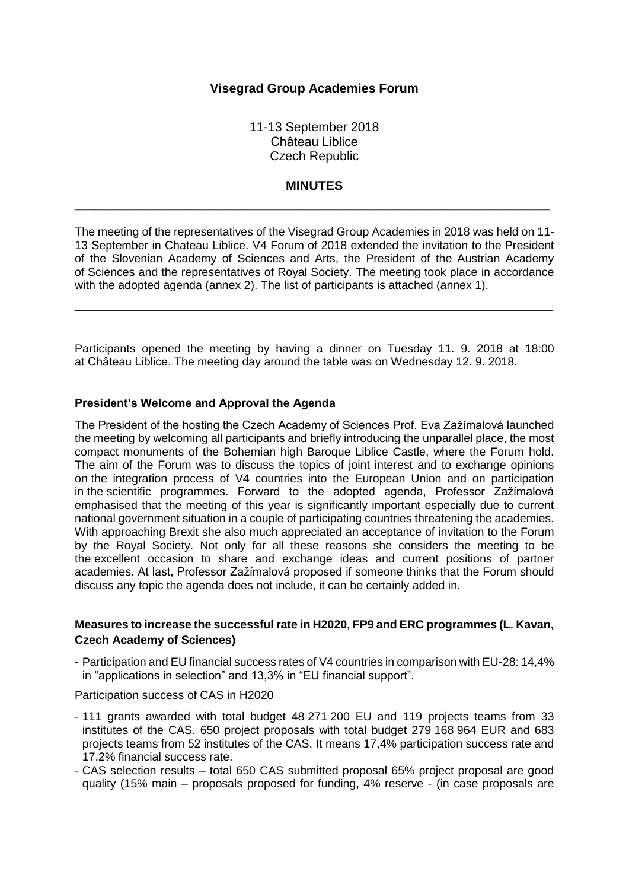### **Visegrad Group Academies Forum**

11-13 September 2018 Château Liblice Czech Republic

#### **MINUTES**

 $\_$  ,  $\_$  ,  $\_$  ,  $\_$  ,  $\_$  ,  $\_$  ,  $\_$  ,  $\_$  ,  $\_$  ,  $\_$  ,  $\_$  ,  $\_$  ,  $\_$  ,  $\_$  ,  $\_$  ,  $\_$  ,  $\_$  ,  $\_$  ,  $\_$  ,  $\_$  ,  $\_$  ,  $\_$  ,  $\_$  ,  $\_$  ,  $\_$  ,  $\_$  ,  $\_$  ,  $\_$  ,  $\_$  ,  $\_$  ,  $\_$  ,  $\_$  ,  $\_$  ,  $\_$  ,  $\_$  ,  $\_$  ,  $\_$  ,

The meeting of the representatives of the Visegrad Group Academies in 2018 was held on 11- 13 September in Chateau Liblice. V4 Forum of 2018 extended the invitation to the President of the Slovenian Academy of Sciences and Arts, the President of the Austrian Academy of Sciences and the representatives of Royal Society. The meeting took place in accordance with the adopted agenda (annex 2). The list of participants is attached (annex 1).

\_\_\_\_\_\_\_\_\_\_\_\_\_\_\_\_\_\_\_\_\_\_\_\_\_\_\_\_\_\_\_\_\_\_\_\_\_\_\_\_\_\_\_\_\_\_\_\_\_\_\_\_\_\_\_\_\_\_\_\_\_\_\_\_\_\_\_\_\_\_\_\_\_\_

Participants opened the meeting by having a dinner on Tuesday 11. 9. 2018 at 18:00 at Château Liblice. The meeting day around the table was on Wednesday 12. 9. 2018.

#### **President's Welcome and Approval the Agenda**

The President of the hosting the Czech Academy of Sciences Prof. Eva Zažímalová launched the meeting by welcoming all participants and briefly introducing the unparallel place, the most compact monuments of the Bohemian high Baroque Liblice Castle, where the Forum hold. The aim of the Forum was to discuss the topics of joint interest and to exchange opinions on the integration process of V4 countries into the European Union and on participation in the scientific programmes. Forward to the adopted agenda, Professor Zažímalová emphasised that the meeting of this year is significantly important especially due to current national government situation in a couple of participating countries threatening the academies. With approaching Brexit she also much appreciated an acceptance of invitation to the Forum by the Royal Society. Not only for all these reasons she considers the meeting to be the excellent occasion to share and exchange ideas and current positions of partner academies. At last, Professor Zažímalová proposed if someone thinks that the Forum should discuss any topic the agenda does not include, it can be certainly added in.

#### **Measures to increase the successful rate in H2020, FP9 and ERC programmes (L. Kavan, Czech Academy of Sciences)**

- Participation and EU financial success rates of V4 countries in comparison with EU-28: 14,4% in "applications in selection" and 13,3% in "EU financial support".

Participation success of CAS in H2020

- 111 grants awarded with total budget 48 271 200 EU and 119 projects teams from 33 institutes of the CAS. 650 project proposals with total budget 279 168 964 EUR and 683 projects teams from 52 institutes of the CAS. It means 17,4% participation success rate and 17,2% financial success rate.
- CAS selection results total 650 CAS submitted proposal 65% project proposal are good quality (15% main – proposals proposed for funding, 4% reserve - (in case proposals are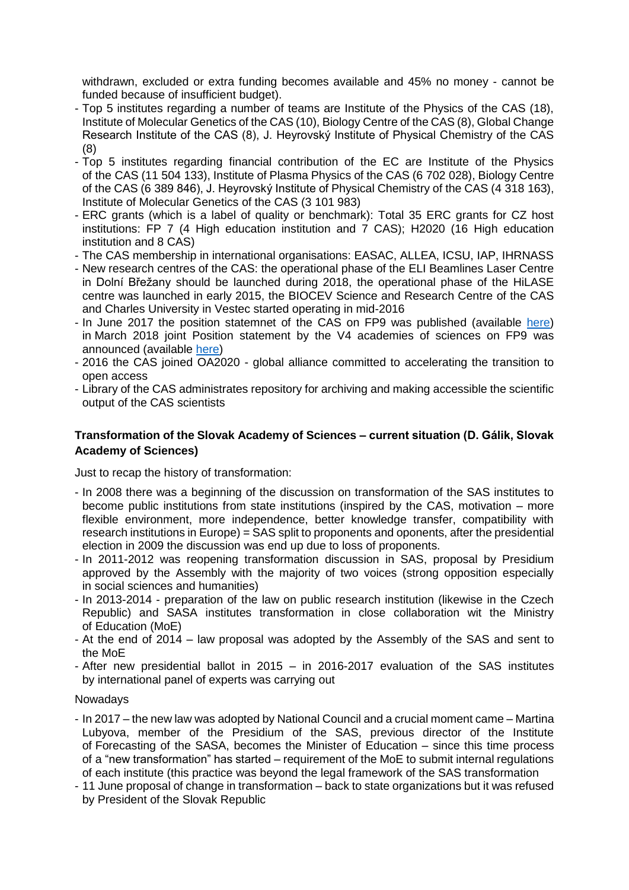withdrawn, excluded or extra funding becomes available and 45% no money - cannot be funded because of insufficient budget).

- Top 5 institutes regarding a number of teams are Institute of the Physics of the CAS (18), Institute of Molecular Genetics of the CAS (10), Biology Centre of the CAS (8), Global Change Research Institute of the CAS (8), J. Heyrovský Institute of Physical Chemistry of the CAS (8)
- Top 5 institutes regarding financial contribution of the EC are Institute of the Physics of the CAS (11 504 133), Institute of Plasma Physics of the CAS (6 702 028), Biology Centre of the CAS (6 389 846), J. Heyrovský Institute of Physical Chemistry of the CAS (4 318 163), Institute of Molecular Genetics of the CAS (3 101 983)
- ERC grants (which is a label of quality or benchmark): Total 35 ERC grants for CZ host institutions: FP 7 (4 High education institution and 7 CAS); H2020 (16 High education institution and 8 CAS)
- The CAS membership in international organisations: EASAC, ALLEA, ICSU, IAP, IHRNASS
- New research centres of the CAS: the operational phase of the ELI Beamlines Laser Centre in Dolní Břežany should be launched during 2018, the operational phase of the HiLASE centre was launched in early 2015, the BIOCEV Science and Research Centre of the CAS and Charles University in Vestec started operating in mid-2016
- In June 2017 the position statemnet of the CAS on FP9 was published (available [here\)](file:///C:/Users/smilnicka/Desktop/Position-CAS-on-FP9_CZ.pdf) in March 2018 joint Position statement by the V4 academies of sciences on FP9 was announced (available [here\)](file:///C:/Users/smilnicka/Desktop/V4_Joint-statement_FINAL.pdf)
- 2016 the CAS joined OA2020 global alliance committed to accelerating the transition to open access
- Library of the CAS administrates repository for archiving and making accessible the scientific output of the CAS scientists

## **Transformation of the Slovak Academy of Sciences – current situation (D. Gálik, Slovak Academy of Sciences)**

Just to recap the history of transformation:

- In 2008 there was a beginning of the discussion on transformation of the SAS institutes to become public institutions from state institutions (inspired by the CAS, motivation – more flexible environment, more independence, better knowledge transfer, compatibility with research institutions in Europe) = SAS split to proponents and oponents, after the presidential election in 2009 the discussion was end up due to loss of proponents.
- In 2011-2012 was reopening transformation discussion in SAS, proposal by Presidium approved by the Assembly with the majority of two voices (strong opposition especially in social sciences and humanities)
- In 2013-2014 preparation of the law on public research institution (likewise in the Czech Republic) and SASA institutes transformation in close collaboration wit the Ministry of Education (MoE)
- At the end of 2014 law proposal was adopted by the Assembly of the SAS and sent to the MoE
- After new presidential ballot in 2015 in 2016-2017 evaluation of the SAS institutes by international panel of experts was carrying out

#### Nowadays

- In 2017 the new law was adopted by National Council and a crucial moment came Martina Lubyova, member of the Presidium of the SAS, previous director of the Institute of Forecasting of the SASA, becomes the Minister of Education – since this time process of a "new transformation" has started – requirement of the MoE to submit internal regulations of each institute (this practice was beyond the legal framework of the SAS transformation
- 11 June proposal of change in transformation back to state organizations but it was refused by President of the Slovak Republic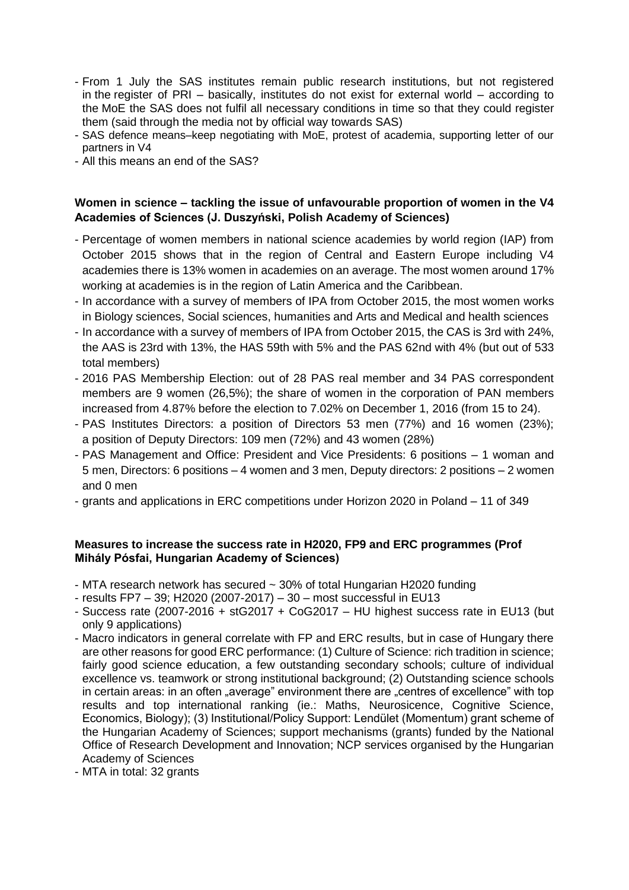- From 1 July the SAS institutes remain public research institutions, but not registered in the register of PRI – basically, institutes do not exist for external world – according to the MoE the SAS does not fulfil all necessary conditions in time so that they could register them (said through the media not by official way towards SAS)
- SAS defence means–keep negotiating with MoE, protest of academia, supporting letter of our partners in V4
- All this means an end of the SAS?

## **Women in science – tackling the issue of unfavourable proportion of women in the V4 Academies of Sciences (J. Duszyński, Polish Academy of Sciences)**

- Percentage of women members in national science academies by world region (IAP) from October 2015 shows that in the region of Central and Eastern Europe including V4 academies there is 13% women in academies on an average. The most women around 17% working at academies is in the region of Latin America and the Caribbean.
- In accordance with a survey of members of IPA from October 2015, the most women works in Biology sciences, Social sciences, humanities and Arts and Medical and health sciences
- In accordance with a survey of members of IPA from October 2015, the CAS is 3rd with 24%, the AAS is 23rd with 13%, the HAS 59th with 5% and the PAS 62nd with 4% (but out of 533 total members)
- 2016 PAS Membership Election: out of 28 PAS real member and 34 PAS correspondent members are 9 women (26,5%); the share of women in the corporation of PAN members increased from 4.87% before the election to 7.02% on December 1, 2016 (from 15 to 24).
- PAS Institutes Directors: a position of Directors 53 men (77%) and 16 women (23%); a position of Deputy Directors: 109 men (72%) and 43 women (28%)
- PAS Management and Office: President and Vice Presidents: 6 positions 1 woman and 5 men, Directors: 6 positions – 4 women and 3 men, Deputy directors: 2 positions – 2 women and 0 men
- grants and applications in ERC competitions under Horizon 2020 in Poland 11 of 349

### **Measures to increase the success rate in H2020, FP9 and ERC programmes (Prof Mihály Pósfai, Hungarian Academy of Sciences)**

- MTA research network has secured ~ 30% of total Hungarian H2020 funding
- results FP7 39; H2020 (2007-2017) 30 most successful in EU13
- Success rate (2007-2016 + stG2017 + CoG2017 HU highest success rate in EU13 (but only 9 applications)
- Macro indicators in general correlate with FP and ERC results, but in case of Hungary there are other reasons for good ERC performance: (1) Culture of Science: rich tradition in science; fairly good science education, a few outstanding secondary schools; culture of individual excellence vs. teamwork or strong institutional background; (2) Outstanding science schools in certain areas: in an often "average" environment there are "centres of excellence" with top results and top international ranking (ie.: Maths, Neurosicence, Cognitive Science, Economics, Biology); (3) Institutional/Policy Support: Lendület (Momentum) grant scheme of the Hungarian Academy of Sciences; support mechanisms (grants) funded by the National Office of Research Development and Innovation; NCP services organised by the Hungarian Academy of Sciences
- MTA in total: 32 grants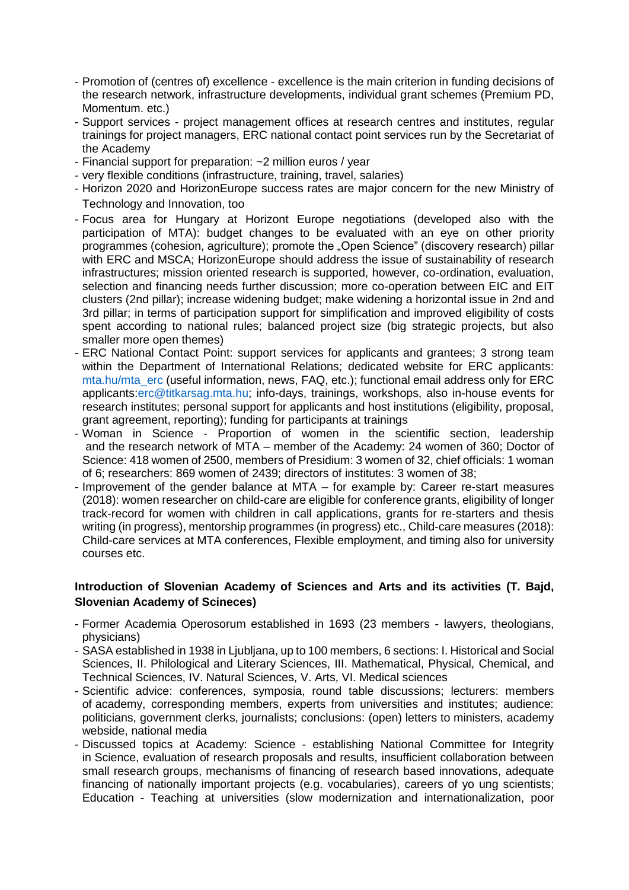- Promotion of (centres of) excellence excellence is the main criterion in funding decisions of the research network, infrastructure developments, individual grant schemes (Premium PD, Momentum. etc.)
- Support services project management offices at research centres and institutes, regular trainings for project managers, ERC national contact point services run by the Secretariat of the Academy
- Financial support for preparation: ~2 million euros / year
- very flexible conditions (infrastructure, training, travel, salaries)
- Horizon 2020 and HorizonEurope success rates are major concern for the new Ministry of Technology and Innovation, too
- Focus area for Hungary at Horizont Europe negotiations (developed also with the participation of MTA): budget changes to be evaluated with an eye on other priority programmes (cohesion, agriculture); promote the "Open Science" (discovery research) pillar with ERC and MSCA; HorizonEurope should address the issue of sustainability of research infrastructures; mission oriented research is supported, however, co-ordination, evaluation, selection and financing needs further discussion; more co-operation between EIC and EIT clusters (2nd pillar); increase widening budget; make widening a horizontal issue in 2nd and 3rd pillar; in terms of participation support for simplification and improved eligibility of costs spent according to national rules; balanced project size (big strategic projects, but also smaller more open themes)
- ERC National Contact Point: support services for applicants and grantees; 3 strong team within the Department of International Relations; dedicated website for ERC applicants: [mta.hu/mta\\_erc](file:///C:/Users/smilnicka/Desktop/mta.hu/mta_erc) (useful information, news, FAQ, etc.); functional email address only for ERC applicants[:erc@titkarsag.mta.hu;](mailto:erc@titkarsag.mta.hu) info-days, trainings, workshops, also in-house events for research institutes; personal support for applicants and host institutions (eligibility, proposal, grant agreement, reporting); funding for participants at trainings
- Woman in Science Proportion of women in the scientific section, leadership and the research network of MTA – member of the Academy: 24 women of 360; Doctor of Science: 418 women of 2500, members of Presidium: 3 women of 32, chief officials: 1 woman of 6; researchers: 869 women of 2439; directors of institutes: 3 women of 38;
- Improvement of the gender balance at MTA for example by: Career re-start measures (2018): women researcher on child-care are eligible for conference grants, eligibility of longer track-record for women with children in call applications, grants for re-starters and thesis writing (in progress), mentorship programmes (in progress) etc., Child-care measures (2018): Child-care services at MTA conferences, Flexible employment, and timing also for university courses etc.

### **Introduction of Slovenian Academy of Sciences and Arts and its activities (T. Bajd, Slovenian Academy of Scineces)**

- Former Academia Operosorum established in 1693 (23 members lawyers, theologians, physicians)
- SASA established in 1938 in Ljubljana, up to 100 members, 6 sections: I. Historical and Social Sciences, II. Philological and Literary Sciences, III. Mathematical, Physical, Chemical, and Technical Sciences, IV. Natural Sciences, V. Arts, VI. Medical sciences
- Scientific advice: conferences, symposia, round table discussions; lecturers: members of academy, corresponding members, experts from universities and institutes; audience: politicians, government clerks, journalists; conclusions: (open) letters to ministers, academy webside, national media
- Discussed topics at Academy: Science establishing National Committee for Integrity in Science, evaluation of research proposals and results, insufficient collaboration between small research groups, mechanisms of financing of research based innovations, adequate financing of nationally important projects (e.g. vocabularies), careers of yo ung scientists; Education - Teaching at universities (slow modernization and internationalization, poor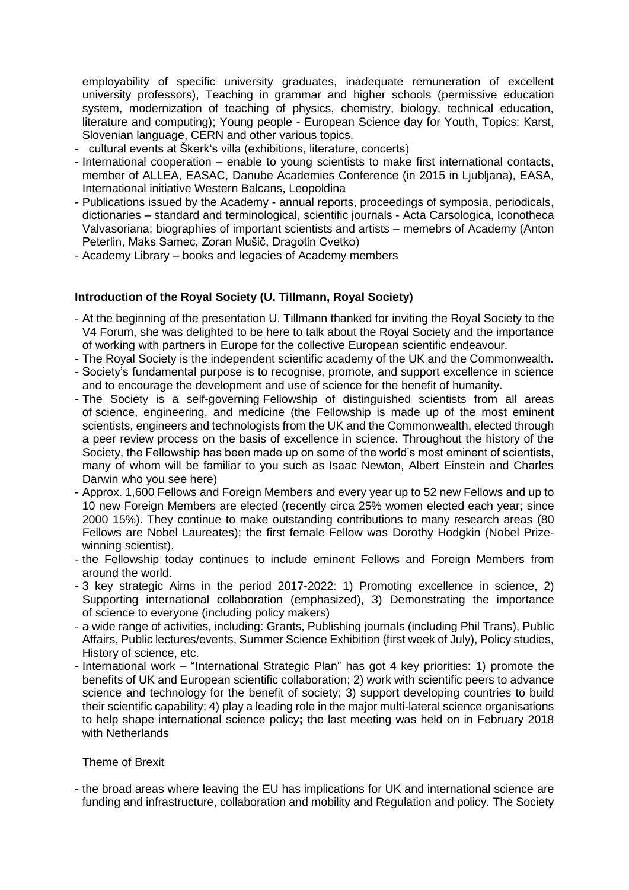employability of specific university graduates, inadequate remuneration of excellent university professors), Teaching in grammar and higher schools (permissive education system, modernization of teaching of physics, chemistry, biology, technical education, literature and computing); Young people - European Science day for Youth, Topics: Karst, Slovenian language, CERN and other various topics.

- cultural events at Škerk's villa (exhibitions, literature, concerts)
- International cooperation enable to young scientists to make first international contacts, member of ALLEA, EASAC, Danube Academies Conference (in 2015 in Ljubljana), EASA, International initiative Western Balcans, Leopoldina
- Publications issued by the Academy annual reports, proceedings of symposia, periodicals, dictionaries – standard and terminological, scientific journals - Acta Carsologica, Iconotheca Valvasoriana; biographies of important scientists and artists – memebrs of Academy (Anton Peterlin, Maks Samec, Zoran Mušič, Dragotin Cvetko)
- Academy Library books and legacies of Academy members

#### **Introduction of the Royal Society (U. Tillmann, Royal Society)**

- At the beginning of the presentation U. Tillmann thanked for inviting the Royal Society to the V4 Forum, she was delighted to be here to talk about the Royal Society and the importance of working with partners in Europe for the collective European scientific endeavour.
- The Royal Society is the independent scientific academy of the UK and the Commonwealth.
- Society's fundamental purpose is to recognise, promote, and support excellence in science and to encourage the development and use of science for the benefit of humanity.
- The Society is a self-governing Fellowship of distinguished scientists from all areas of science, engineering, and medicine (the Fellowship is made up of the most eminent scientists, engineers and technologists from the UK and the Commonwealth, elected through a peer review process on the basis of excellence in science. Throughout the history of the Society, the Fellowship has been made up on some of the world's most eminent of scientists, many of whom will be familiar to you such as Isaac Newton, Albert Einstein and Charles Darwin who you see here)
- Approx. 1,600 Fellows and Foreign Members and every year up to 52 new Fellows and up to 10 new Foreign Members are elected (recently circa 25% women elected each year; since 2000 15%). They continue to make outstanding contributions to many research areas (80 Fellows are Nobel Laureates); the first female Fellow was Dorothy Hodgkin (Nobel Prizewinning scientist).
- the Fellowship today continues to include eminent Fellows and Foreign Members from around the world.
- 3 key strategic Aims in the period 2017-2022: 1) Promoting excellence in science, 2) Supporting international collaboration (emphasized), 3) Demonstrating the importance of science to everyone (including policy makers)
- a wide range of activities, including: Grants, Publishing journals (including Phil Trans), Public Affairs, Public lectures/events, Summer Science Exhibition (first week of July), Policy studies, History of science, etc.
- International work "International Strategic Plan" has got 4 key priorities: 1) promote the benefits of UK and European scientific collaboration; 2) work with scientific peers to advance science and technology for the benefit of society; 3) support developing countries to build their scientific capability; 4) play a leading role in the major multi-lateral science organisations to help shape international science policy**;** the last meeting was held on in February 2018 with Netherlands

#### Theme of Brexit

- the broad areas where leaving the EU has implications for UK and international science are funding and infrastructure, collaboration and mobility and Regulation and policy. The Society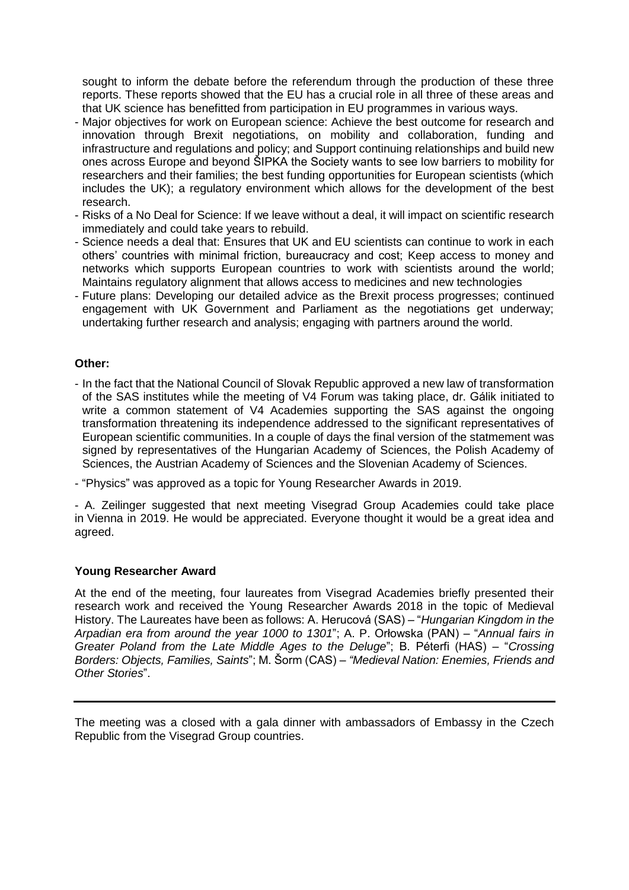sought to inform the debate before the referendum through the production of these three reports. These reports showed that the EU has a crucial role in all three of these areas and that UK science has benefitted from participation in EU programmes in various ways.

- Major objectives for work on European science: Achieve the best outcome for research and innovation through Brexit negotiations, on mobility and collaboration, funding and infrastructure and regulations and policy; and Support continuing relationships and build new ones across Europe and beyond ŠIPKA the Society wants to see low barriers to mobility for researchers and their families; the best funding opportunities for European scientists (which includes the UK); a regulatory environment which allows for the development of the best research.
- Risks of a No Deal for Science: If we leave without a deal, it will impact on scientific research immediately and could take years to rebuild.
- Science needs a deal that: Ensures that UK and EU scientists can continue to work in each others' countries with minimal friction, bureaucracy and cost; Keep access to money and networks which supports European countries to work with scientists around the world; Maintains regulatory alignment that allows access to medicines and new technologies
- Future plans: Developing our detailed advice as the Brexit process progresses; continued engagement with UK Government and Parliament as the negotiations get underway; undertaking further research and analysis; engaging with partners around the world.

#### **Other:**

- In the fact that the National Council of Slovak Republic approved a new law of transformation of the SAS institutes while the meeting of V4 Forum was taking place, dr. Gálik initiated to write a common statement of V4 Academies supporting the SAS against the ongoing transformation threatening its independence addressed to the significant representatives of European scientific communities. In a couple of days the final version of the statmement was signed by representatives of the Hungarian Academy of Sciences, the Polish Academy of Sciences, the Austrian Academy of Sciences and the Slovenian Academy of Sciences.
- "Physics" was approved as a topic for Young Researcher Awards in 2019.

- A. Zeilinger suggested that next meeting Visegrad Group Academies could take place in Vienna in 2019. He would be appreciated. Everyone thought it would be a great idea and agreed.

#### **Young Researcher Award**

At the end of the meeting, four laureates from Visegrad Academies briefly presented their research work and received the Young Researcher Awards 2018 in the topic of Medieval History. The Laureates have been as follows: A. Herucová (SAS) – "*Hungarian Kingdom in the Arpadian era from around the year 1000 to 1301*"; A. P. Orłowska (PAN) – "*Annual fairs in Greater Poland from the Late Middle Ages to the Deluge*"; B. Péterfi (HAS) – "*Crossing Borders: Objects, Families, Saints*"; M. Šorm (CAS) – *"Medieval Nation: Enemies, Friends and Other Stories*".

The meeting was a closed with a gala dinner with ambassadors of Embassy in the Czech Republic from the Visegrad Group countries.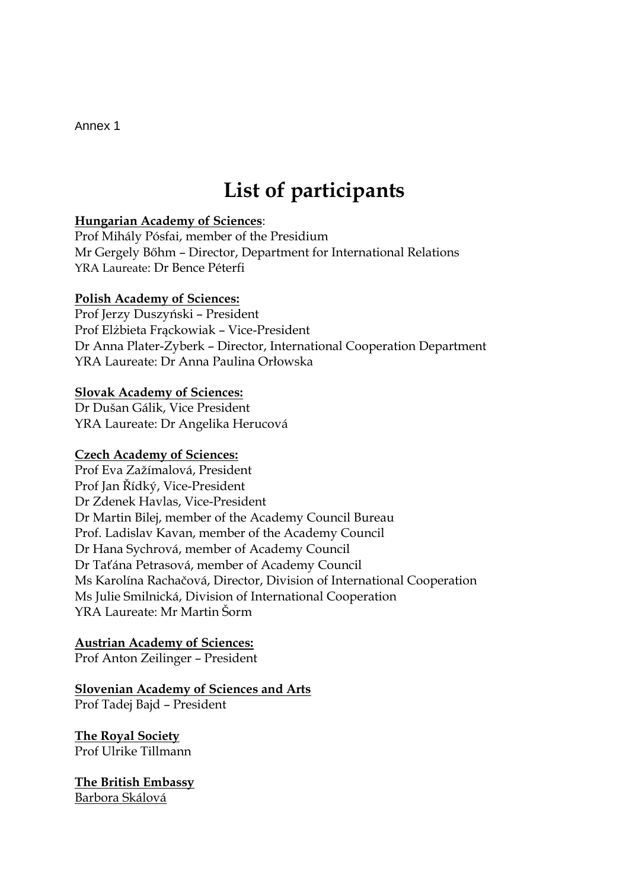Annex 1

# **List of participants**

## **Hungarian Academy of Sciences**:

Prof Mihály Pósfai, member of the Presidium Mr Gergely Bőhm – Director, Department for International Relations YRA Laureate: Dr Bence Péterfi

### **Polish Academy of Sciences:**

Prof Jerzy Duszyński – President Prof Elżbieta Frąckowiak – Vice-President Dr Anna Plater-Zyberk – Director, International Cooperation Department YRA Laureate: Dr Anna Paulina Orłowska

## **Slovak Academy of Sciences:**

Dr Dušan Gálik, Vice President YRA Laureate: Dr Angelika Herucová

## **Czech Academy of Sciences:**

Prof Eva Zažímalová, President Prof Jan Řídký, Vice-President Dr Zdenek Havlas, Vice-President Dr Martin Bilej, member of the Academy Council Bureau Prof. Ladislav Kavan, member of the Academy Council Dr Hana Sychrová, member of Academy Council Dr Taťána Petrasová, member of Academy Council Ms Karolína Rachačová, Director, Division of International Cooperation Ms Julie Smilnická, Division of International Cooperation YRA Laureate: Mr Martin Šorm

## **Austrian Academy of Sciences:**

Prof Anton Zeilinger – President

# **Slovenian Academy of Sciences and Arts**

Prof Tadej Bajd – President

#### **The Royal Society** Prof Ulrike Tillmann

**The British Embassy** Barbora Skálová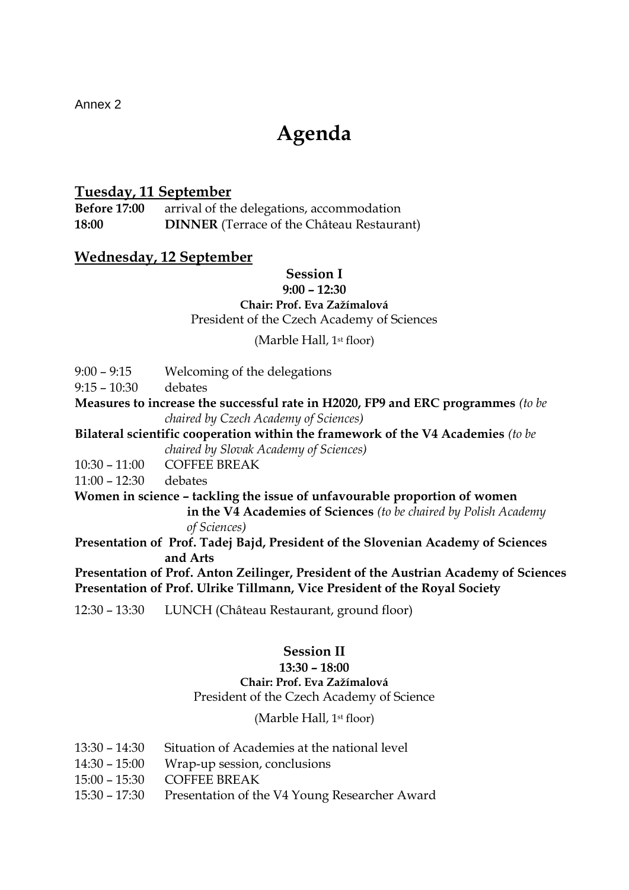Annex 2

# **Agenda**

# **Tuesday, 11 September**

**Before 17:00** arrival of the delegations, accommodation **18:00 DINNER** (Terrace of the Château Restaurant)

# **Wednesday, 12 September**

#### **Session I 9:00 – 12:30**

### **Chair: Prof. Eva Zažímalová**

President of the Czech Academy of Sciences

(Marble Hall, 1st floor)

9:00 – 9:15 Welcoming of the delegations

9:15 – 10:30 debates

**Measures to increase the successful rate in H2020, FP9 and ERC programmes** *(to be chaired by Czech Academy of Sciences)*

**Bilateral scientific cooperation within the framework of the V4 Academies** *(to be chaired by Slovak Academy of Sciences)*

10:30 – 11:00 COFFEE BREAK

11:00 – 12:30 debates

**Women in science – tackling the issue of unfavourable proportion of women in the V4 Academies of Sciences** *(to be chaired by Polish Academy* 

*of Sciences)*

**Presentation of Prof. Tadej Bajd, President of the Slovenian Academy of Sciences and Arts**

**Presentation of Prof. Anton Zeilinger, President of the Austrian Academy of Sciences Presentation of Prof. Ulrike Tillmann, Vice President of the Royal Society**

12:30 – 13:30 LUNCH (Château Restaurant, ground floor)

# **Session II**

## **13:30 – 18:00**

# **Chair: Prof. Eva Zažímalová**

President of the Czech Academy of Science

# (Marble Hall, 1st floor)

- 13:30 14:30 Situation of Academies at the national level
- 14:30 15:00 Wrap-up session, conclusions
- 15:00 15:30 COFFEE BREAK
- 15:30 17:30 Presentation of the V4 Young Researcher Award